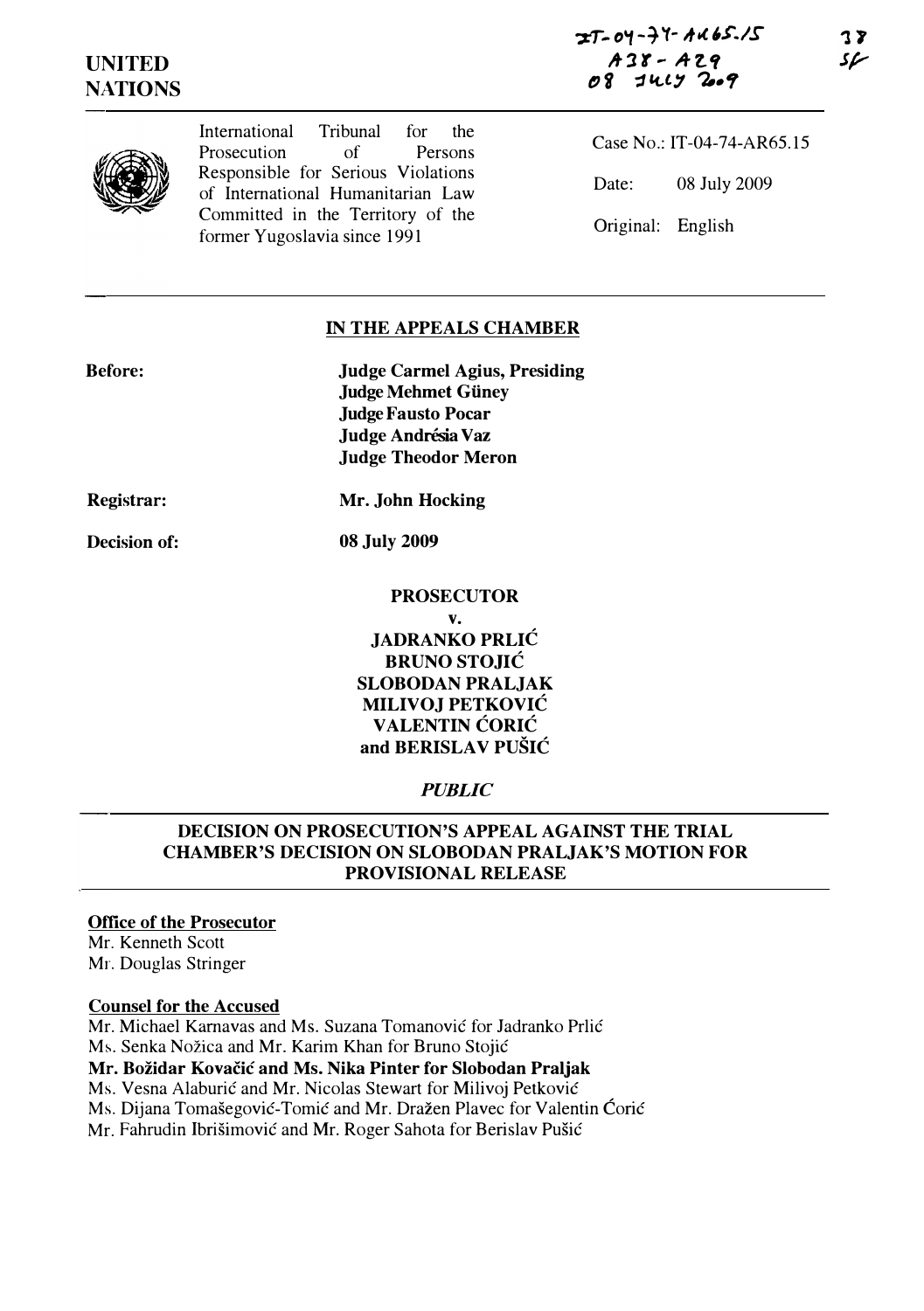



International Tribunal for the Prosecution of Persons Responsible for Serious Violations of International Humanitarian Law Committed in the Territory of the former Yugoslavia since 1991

Case No.: IT-04-74-AR65.15 Date: 08 July 2009 Original: English

## IN THE APPEALS CHAMBER

| <b>Before:</b> | <b>Judge Carmel Agius, Presiding</b> |
|----------------|--------------------------------------|
|                | <b>Judge Mehmet Güney</b>            |
|                | <b>Judge Fausto Pocar</b>            |
|                | Judge Andrésia Vaz                   |
|                | <b>Judge Theodor Meron</b>           |
|                |                                      |

Registrar:

Decision of:

dge Fausto Pocar ıdge Andrésia Vaz dge Theodor Meron

Mr. John Hocking

08 July 2009

## **PROSECUTOR**

v. JADRANKO PRLIC BRUNO STOJIC SLOBODAN PRALJAK MILIVOJ PETKOVIC VALENTIN CORIC and BERISLAV PUŠIĆ

# PUBLIC

## DECISION ON PROSECUTION'S APPEAL AGAINST THE TRIAL CHAMBER'S DECISION ON SLOBODAN PRALJAK'S MOTION FOR PROVISIONAL RELEASE

## Office of the Prosecutor

Mr. Kenneth Scott Mr. Douglas Stringer

#### Counsel for the Accused

Mr. Michael Karnavas and Ms. Suzana Tomanovic for Jadranko Prlic Ms. Senka Nožica and Mr. Karim Khan for Bruno Stojić Mr. Bozidar Kovacic and Ms. Nika Pinter for Slobodan Praljak Ms. Vesna Alaburić and Mr. Nicolas Stewart for Milivoj Petković Ms. Dijana Tomašegović-Tomić and Mr. Dražen Plavec for Valentin Ćorić

Mr. Fahrudin Ibrišimović and Mr. Roger Sahota for Berislav Pušić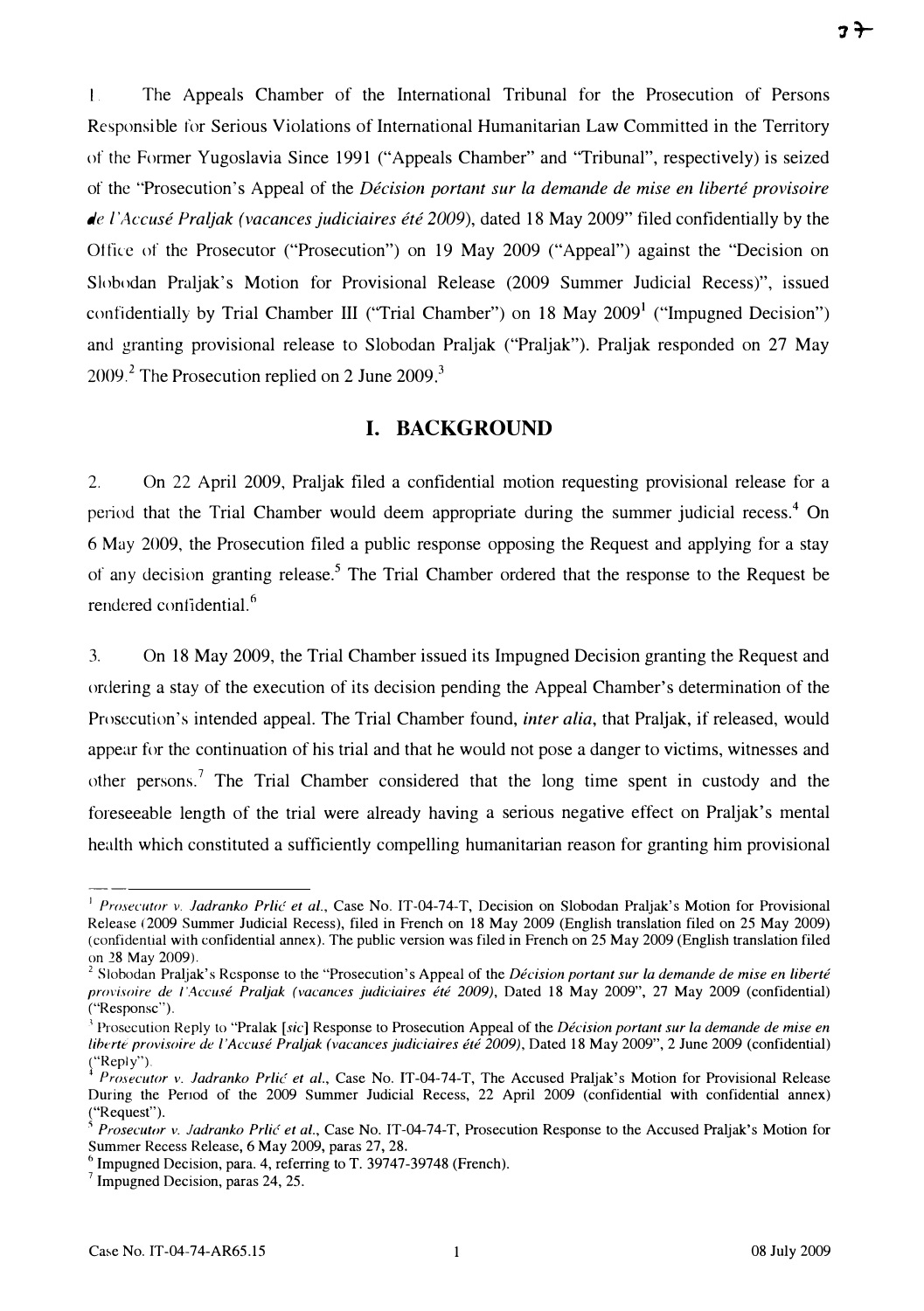$3 +$ 

 $\mathbf{L}$ The Appeals Chamber of the International Tribunal for the Prosecution of Persons Responsible for Serious Violations of International Humanitarian Law Committed in the Territory of the Former Yugoslavia Since 1991 ("Appeals Chamber" and "Tribunal", respectively) is seized of the "Prosecution's Appeal of the Décision portant sur la demande de mise en liberté provisoire de l'Accusé Praljak (vacances judiciaires été 2009), dated 18 May 2009" filed confidentially by the Office of the Prosecutor ("Prosecution") on 19 May 2009 ("Appeal") against the "Decision on Slobodan Praljak's Motion for Provisional Release (2009 Summer Judicial Recess)", issued confidentially by Trial Chamber III ("Trial Chamber") on 18 May  $2009<sup>1</sup>$  ("Impugned Decision") and granting provisional release to Slobodan Praljak ("Praljak"). Praljak responded on 27 May  $2009<sup>2</sup>$  The Prosecution replied on 2 June  $2009<sup>3</sup>$ 

## I. BACKGROUND

2. On 22 April 2009, Praljak filed a confidential motion requesting provisional release for a period that the Trial Chamber would deem appropriate during the summer judicial recess.<sup>4</sup> On 6 May 2009, the Prosecution filed a public response opposing the Request and applying for a stay of any decision granting release.<sup>5</sup> The Trial Chamber ordered that the response to the Request be rendered confidential. $<sup>6</sup>$ </sup>

3. On 18 May 2009, the Trial Chamber issued its Impugned Decision granting the Request and ordering a stay of the execution of its decision pending the Appeal Chamber's determination of the Prosecution's intended appeal. The Trial Chamber found, *inter alia*, that Praljak, if released, would appear for the continuation of his trial and that he would not pose a danger to victims, witnesses and other persons.<sup>7</sup> The Trial Chamber considered that the long time spent in custody and the foreseeable length of the trial were already having a serious negative effect on Praljak's mental health which constituted a sufficiently compelling humanitarian reason for granting him provisional

<sup>&</sup>lt;sup>1</sup> Prosecutor v. Jadranko Prlić et al., Case No. IT-04-74-T, Decision on Slobodan Praljak's Motion for Provisional Release (2009 Summer Judicial Recess), filed in French on 18 May 2009 (English translation filed on 25 May 2009) (confidential with confidential annex). The public version was filed in French on 25 May 2009 (English translation filed on 28 May 2009).

<sup>&</sup>lt;sup>2</sup> Slobodan Praljak's Response to the "Prosecution's Appeal of the *Décision portant sur la demande de mise en liberté* provisoire de l'Accusé Praljak (vacances judiciaires été 2009), Dated 18 May 2009", 27 May 2009 (confidential) ("Responsc").

 $3$  Prosecution Reply to "Pralak [sic] Response to Prosecution Appeal of the *Décision portant sur la demande de mise en* liberté provisoire de l'Accusé Praljak (vacances judiciaires été 2009), Dated 18 May 2009", 2 June 2009 (confidential)  $(\text{``Reply''})$ .

Prosecutor v. Jadranko Prlić et al., Case No. IT-04-74-T, The Accused Praljak's Motion for Provisional Release During the Penod of the 2009 Summer Judicial Recess, 22 April 2009 (confidential with confidential annex) ("Request").

 $5$  Prosecutor v. Jadranko Prlic et al., Case No. IT-04-74-T, Prosecution Response to the Accused Praljak's Motion for Summer Recess Release, 6 May 2009, paras 27, 28.

 $6$  Impugned Decision, para. 4, referring to T. 39747-39748 (French).

 $<sup>7</sup>$  Impugned Decision, paras 24, 25.</sup>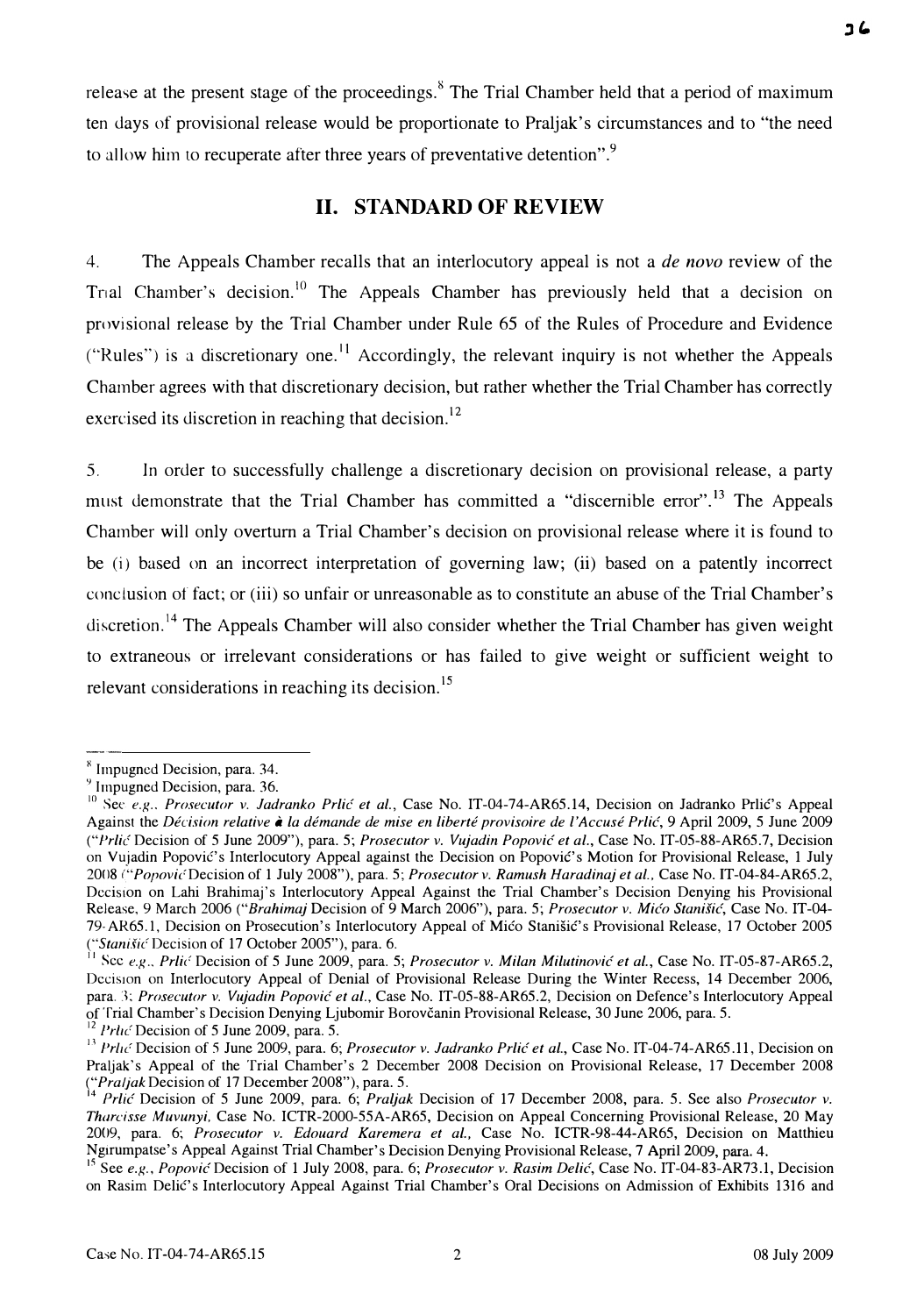release at the present stage of the proceedings.<sup>8</sup> The Trial Chamber held that a period of maximum ten days of provisional release would be proportionate to Praljak's circumstances and to "the need to allow him to recuperate after three years of preventative detention".<sup>9</sup>

### II. STANDARD OF REVIEW

4. The Appeals Chamber recalls that an interlocutory appeal is not a *de novo* review of the Trial Chamber's decision.<sup>10</sup> The Appeals Chamber has previously held that a decision on provisional release by the Trial Chamber under Rule 65 of the Rules of Procedure and Evidence ("Rules") is a discretionary one.<sup>11</sup> Accordingly, the relevant inquiry is not whether the Appeals Chamber agrees with that discretionary decision, but rather whether the Trial Chamber has correctly exercised its discretion in reaching that decision.<sup>12</sup>

5. In order to successfully challenge a discretionary decision on provisional release, a party must demonstrate that the Trial Chamber has committed a "discernible error".<sup>13</sup> The Appeals Chamber will only overturn a Trial Chamber's decision on provisional release where it is found to be (i) based on an incorrect interpretation of governing law; (ii) based on a patently incorrect conclusion of fact; or (iii) so unfair or unreasonable as to constitute an abuse of the Trial Chamber's discretion.<sup>14</sup> The Appeals Chamber will also consider whether the Trial Chamber has given weight to extraneous or irrelevant considerations or has failed to give weight or sufficient weight to relevant considerations in reaching its decision.<sup>15</sup>

**ع د** 

<sup>&</sup>lt;sup>8</sup> Impugned Decision, para. 34.

<sup>&</sup>lt;sup>9</sup> Impugned Decision, para. 36.

<sup>&</sup>lt;sup>10</sup> See e.g., Prosecutor v. Jadranko Prlić et al., Case No. IT-04-74-AR65.14, Decision on Jadranko Prlić's Appeal Against the Décision relative à la démande de mise en liberté provisoire de l'Accusé Prlić, 9 April 2009, 5 June 2009 ("Prlić Decision of 5 June 2009"), para. 5; Prosecutor v. Vujadin Popović et al., Case No. IT-05-88-AR65.7, Decision on Vujadin Popović's Interlocutory Appeal against the Decision on Popović's Motion for Provisional Release, 1 July 2008 ("Popovic Decision of 1 July 2008"), para. 5; Prosecutor v. Ramush Haradinaj et al., Case No. IT-04-84-AR65.2, Decision on Lahi Brahimaj's Interlocutory Appeal Against the Trial Chamber's Decision Denying his Provisional Release, 9 March 2006 ("Brahimaj Decision of 9 March 2006"), para. 5; Prosecutor v. Mićo Stanišić, Case No. IT-04-79 AR65.1, Decision on Prosecution's Interlocutory Appeal of Mico Stanišic's Provisional Release, 17 October 2005 ("Stanišić Decision of 17 October 2005"), para. 6.

<sup>&</sup>lt;sup>II</sup> Scc e.g., Prlic Decision of 5 June 2009, para. 5; Prosecutor v. Milan Milutinovic et al., Case No. IT-05-87-AR65.2, Decision on Interlocutory Appeal of Denial of Provisional Release During the Winter Recess, 14 December 2006, para. 3; Prosecutor v. Vujadin Popović et al., Case No. IT-05-88-AR65.2, Decision on Defence's Interlocutory Appeal of Trial Chamber's Decision Denying Ljubomir Borovcanin Provisional Release, 30 June 2006, para. 5. <sup>12</sup> *Prlic* Decision of 5 June 2009, para. 5.

<sup>&</sup>lt;sup>13</sup> Prlu<sup>c</sup> Decision of 5 June 2009, para. 6; Prosecutor v. Jadranko Prlic et al., Case No. IT-04-74-AR65.11, Decision on Praljak's Appeal of the Trial Chamber's 2 December 2008 Decision on Provisional Release, 17 December 2008 ("*Praljak* Decision of 17 December 2008"), para. 5.

<sup>14</sup> Prlic Decision of 5 June 2009, para. 6; Praljak Decision of 17 December 2008, para. 5. See also Prosecutor v. Tharcisse Muvunyi, Case No. ICTR-2000-55A-AR65, Decision on Appeal Concerning Provisional Release, 20 May 2009, para. 6; Prosecutor v. Edouard Karemera et al., Case No. ICTR-98-44-AR65, Decision on Matthieu Nglrumpatse's Appeal Against Trial Chamber's Decision Denying Provisional Release, 7 April 2009, para. 4.

 $15$  See e.g., Popovic Decision of 1 July 2008, para. 6; Prosecutor v. Rasim Delic, Case No. IT-04-83-AR73.1, Decision on Rasim DeliC's Interlocutory Appeal Against Trial Chamber's Oral Decisions on Admission of Exhibits 1316 and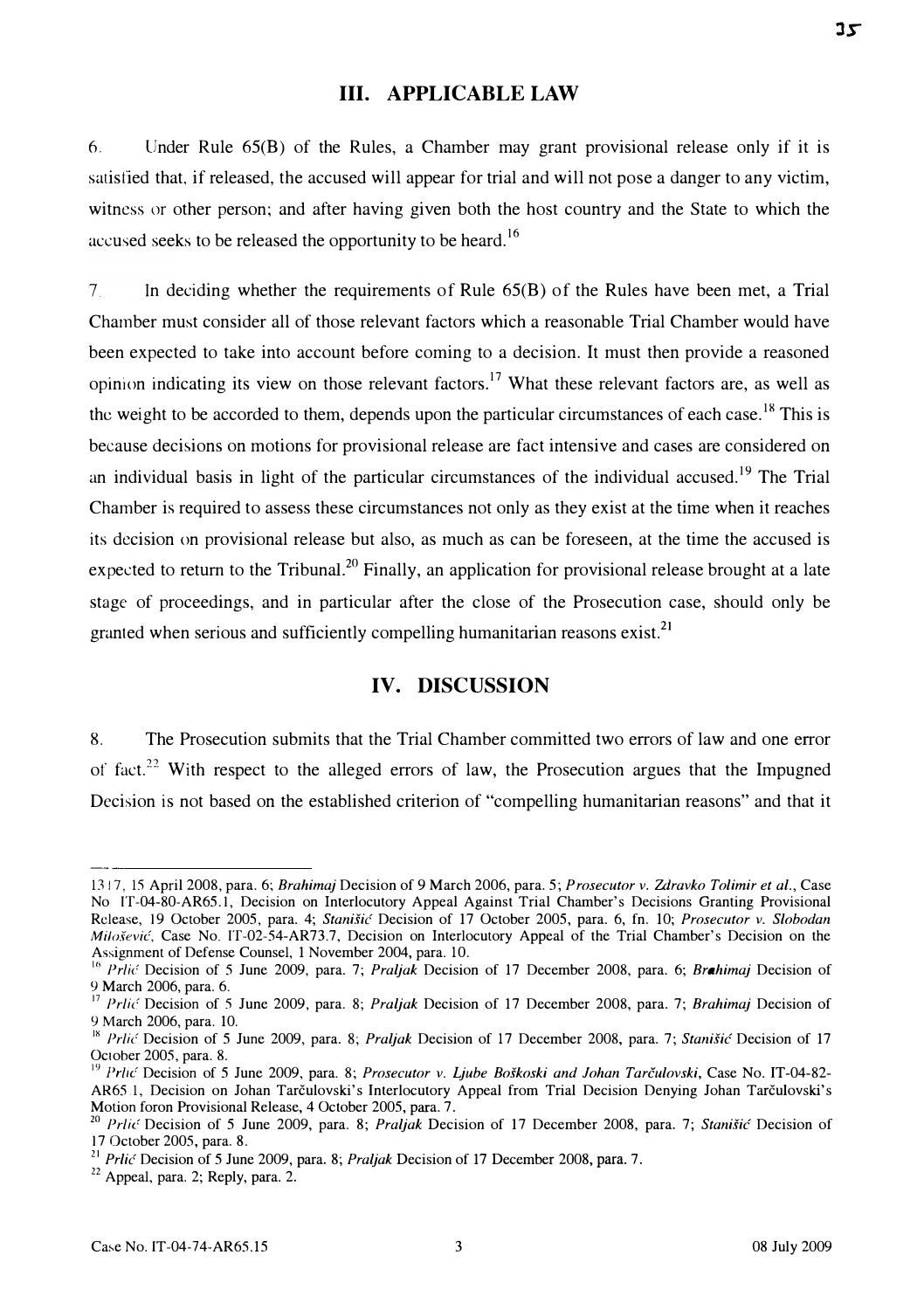#### III. APPLICABLE LAW

6, Under Rule 65(B) of the Rules, a Chamber may grant provisional release only if it is satisfied that, if released, the accused will appear for trial and will not pose a danger to any victim, witness or other person; and after having given both the host country and the State to which the accused seeks to be released the opportunity to be heard.<sup>16</sup>

7 In deciding whether the requirements of Rule 65(B) of the Rules have been met, a Trial Chamber must consider all of those relevant factors which a reasonable Trial Chamber would have been expected to take into account before coming to a decision. It must then provide a reasoned opinion indicating its view on those relevant factors.<sup>17</sup> What these relevant factors are, as well as the weight to be accorded to them, depends upon the particular circumstances of each case.<sup>18</sup> This is because decisions on motions for provisional release are fact intensive and cases are considered on an individual basis in light of the particular circumstances of the individual accused.<sup>19</sup> The Trial Chamber is required to assess these circumstances not only as they exist at the time when it reaches its decision on provisional release but also, as much as can be foreseen, at the time the accused is expected to return to the Tribunal.<sup>20</sup> Finally, an application for provisional release brought at a late stage of proceedings, and in particular after the close of the Prosecution case, should only be granted when serious and sufficiently compelling humanitarian reasons exist.<sup>21</sup>

## IV. DISCUSSION

8. The Prosecution submits that the Trial Chamber committed two errors of law and one error of fact.<sup>22</sup> With respect to the alleged errors of law, the Prosecution argues that the Impugned Decision is not based on the established criterion of "compelling humanitarian reasons" and that it

<sup>1317, 15</sup> April 200S, para. 6; Brahimaj Decision of 9 March 2006, para. 5; Prosecutor v. Zdravko Tolimir et al., Case No IT-04-S0-AR65.1, Decision on Interlocutory Appeal Against Trial Chamber's Decisions Granting Provisional Release, 19 October 2005, para. 4; Stanišić Decision of 17 October 2005, para. 6, fn. 10; Prosecutor v. Slobodan Milošević, Case No. IT-02-54-AR73.7, Decision on Interlocutory Appeal of the Trial Chamber's Decision on the Assignment of Defense Counsel, 1 November 2004, para. 10.

<sup>&</sup>lt;sup>16</sup> Prlic Decision of 5 June 2009, para. 7; Praljak Decision of 17 December 2008, para. 6; Brahimaj Decision of 9 March 2006, para. 6.

<sup>&</sup>lt;sup>17</sup> Prlic<sup>c</sup> Decision of 5 June 2009, para. 8; Praljak Decision of 17 December 2008, para. 7; Brahimaj Decision of 9 March 2006, para. 10.

<sup>&</sup>lt;sup>18</sup> Prlic Decision of 5 June 2009, para. 8; Praljak Decision of 17 December 2008, para. 7; Stanišić Decision of 17 October 200S, para. S.

<sup>&</sup>lt;sup>19</sup> Prlic<sup>.</sup> Decision of 5 June 2009, para. 8; Prosecutor v. Ljube Boškoski and Johan Tarčulovski, Case No. IT-04-82-AR65 1, Decision on Johan Tarčulovski's Interlocutory Appeal from Trial Decision Denying Johan Tarčulovski's Motion foron Provisional Release, 4 October 2005, para. 7.

<sup>&</sup>lt;sup>20</sup> Prlic Decision of 5 June 2009, para. 8; Praljak Decision of 17 December 2008, para. 7; Stanišić Decision of 17 October 200S, para. 8.

<sup>&</sup>lt;sup>21</sup> Prlic Decision of 5 June 2009, para. 8; Praljak Decision of 17 December 2008, para. 7.

<sup>&</sup>lt;sup>22</sup> Appeal, para. 2; Reply, para. 2.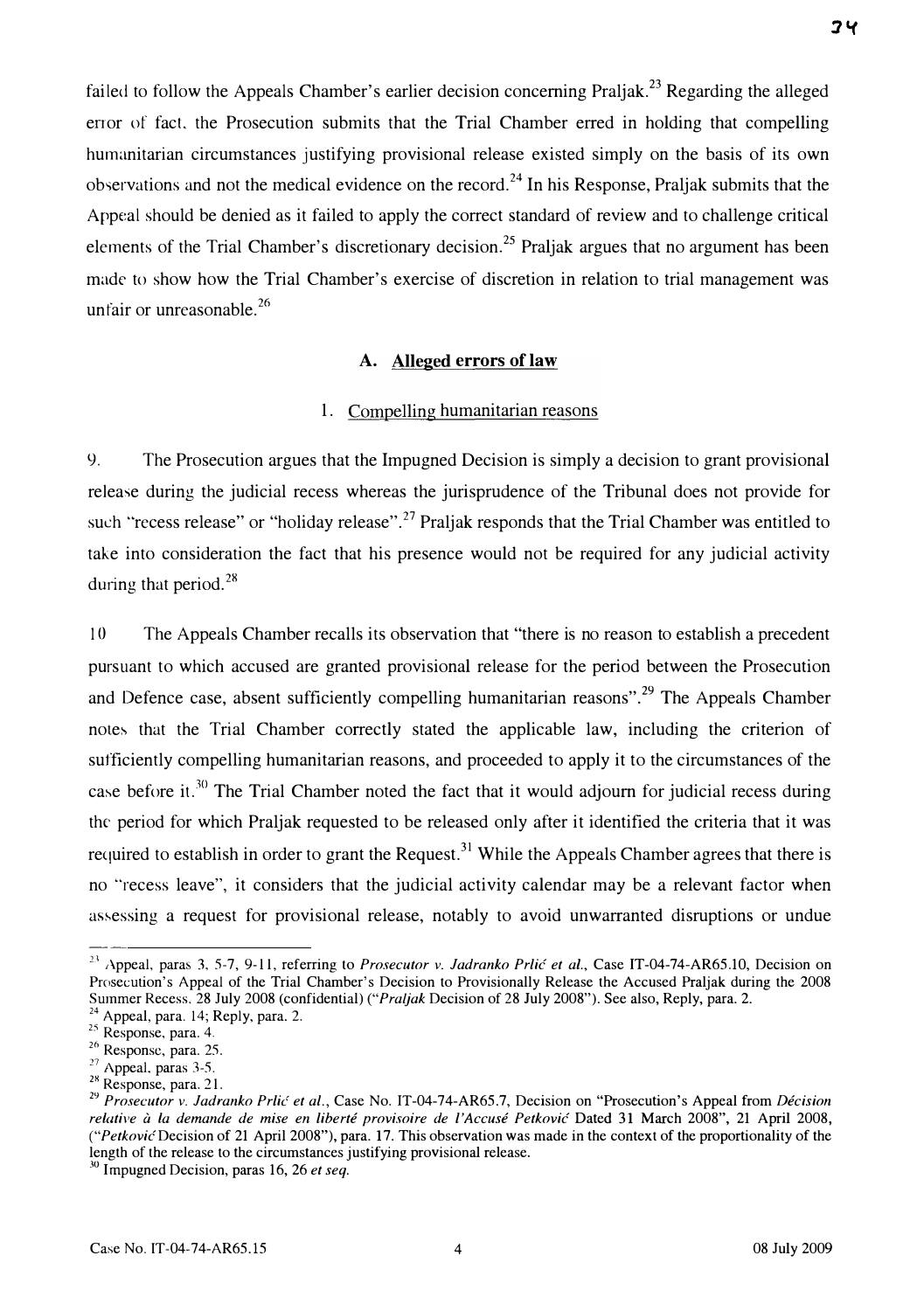failed to follow the Appeals Chamber's earlier decision concerning Praljak.<sup>23</sup> Regarding the alleged error of fact, the Prosecution submits that the Trial Chamber erred in holding that compelling humanitarian circumstances justifying provisional release existed simply on the basis of its own observations and not the medical evidence on the record.<sup>24</sup> In his Response, Praljak submits that the Appeal should be denied as it failed to apply the correct standard of review and to challenge critical elements of the Trial Chamber's discretionary decision.<sup>25</sup> Praljak argues that no argument has been made to show how the Trial Chamber's exercise of discretion in relation to trial management was unfair or unreasonable.<sup>26</sup>

### A. Alleged errors of law

#### 1. Compelling humanitarian reasons

<). The Prosecution argues that the Impugned Decision is simply a decision to grant provisional release during the judicial recess whereas the jurisprudence of the Tribunal does not provide for such "recess release" or "holiday release".<sup>27</sup> Praljak responds that the Trial Chamber was entitled to take into consideration the fact that his presence would not be required for any judicial activity during that period.  $28$ 

10 The Appeals Chamber recalls its observation that "there is no reason to establish a precedent pursuant to which accused are granted provisional release for the period between the Prosecution and Defence case, absent sufficiently compelling humanitarian reasons".<sup>29</sup> The Appeals Chamber notes that the Trial Chamber correctly stated the applicable law, including the criterion of sufficiently compelling humanitarian reasons, and proceeded to apply it to the circumstances of the case before it.<sup>30</sup> The Trial Chamber noted the fact that it would adjourn for judicial recess during the period for which Praljak requested to be released only after it identified the criteria that it was required to establish in order to grant the Request.<sup>31</sup> While the Appeals Chamber agrees that there is no "recess leave", it considers that the judicial activity calendar may be a relevant factor when assessing a request for provisional release, notably to avoid unwarranted disruptions or undue

<sup>&</sup>lt;sup>23</sup> Appeal, paras 3, 5-7, 9-11, referring to *Prosecutor v. Jadranko Prlić et al.*, Case IT-04-74-AR65.10, Decision on Prosecution's Appeal of the Trial Chamber's Decision to Provisionally Release the Accused Praljak during the 2008 Summer Recess. 28 July 2008 (confidential) ("Praijak Decision of 28 July 2008"). See also, Reply, para. 2.

<sup>&</sup>lt;sup>24</sup> Appeal, para. 14; Reply, para. 2.

<sup>&</sup>lt;sup>25</sup> Response, para. 4.

<sup>&</sup>lt;sup>26</sup> Response, para. 25.

 $^{27}$  Appeal, paras 3-5.

 $28$  Response, para. 21.

<sup>&</sup>lt;sup>29</sup> Prosecutor v. Jadranko Prlić et al., Case No. IT-04-74-AR65.7, Decision on "Prosecution's Appeal from Décision relative à la demande de mise en liberté provisoire de l'Accusé Petković Dated 31 March 2008", 21 April 2008, ("Petkovic Decision of 21 April 2008"), para. 17. This observation was made in the context of the proportionality of the length of the release to the circumstances justifying provisional release.

 $30$  Impugned Decision, paras 16, 26 et seq.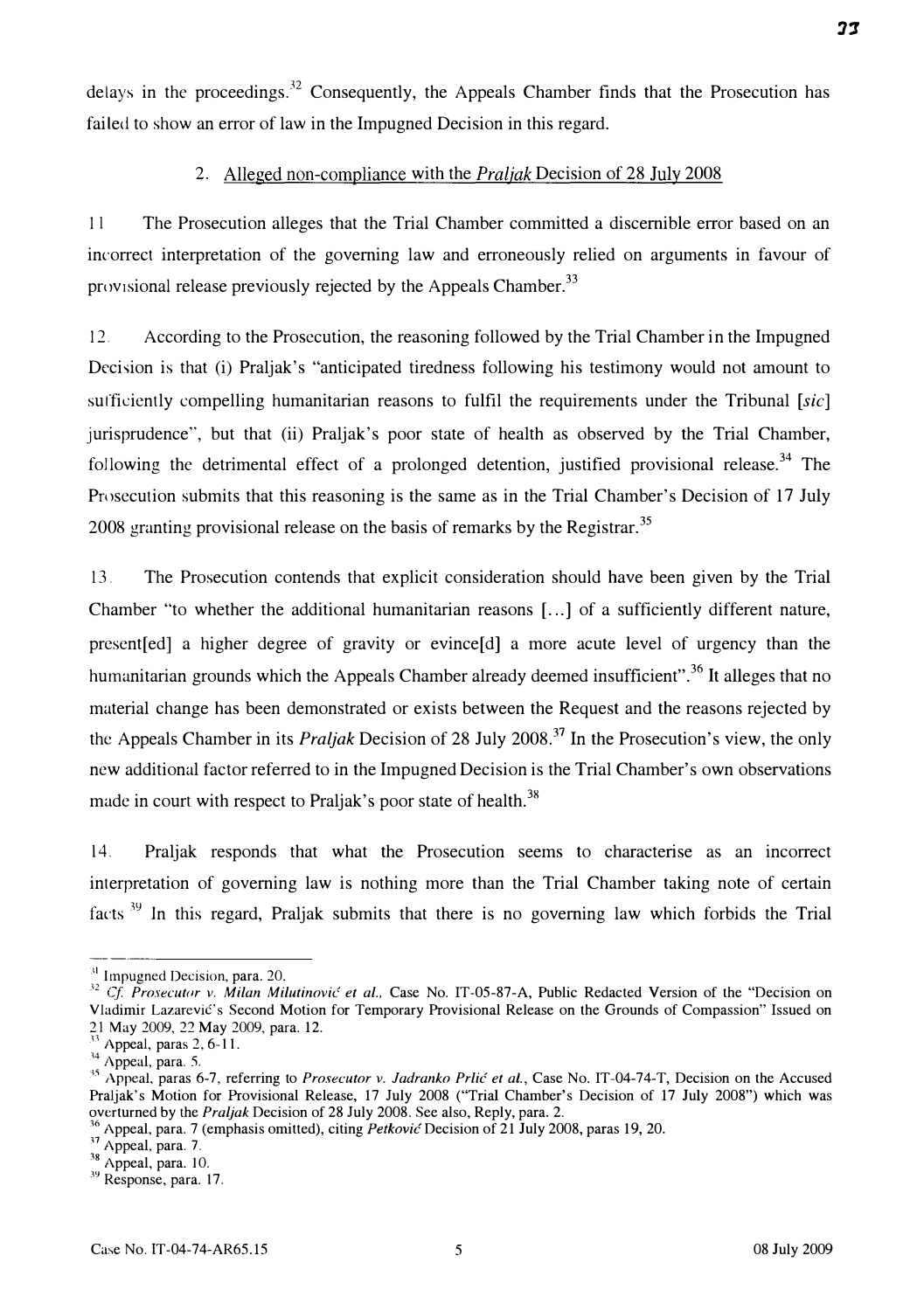delays in the proceedings. $32$  Consequently, the Appeals Chamber finds that the Prosecution has failed to show an error of law in the Impugned Decision in this regard.

#### 2. Alleged non-compliance with the *Praljak* Decision of 28 July 2008

11 The Prosecution alleges that the Trial Chamber committed a discernible error based on an incorrect interpretation of the governing law and erroneously relied on arguments in favour of provisional release previously rejected by the Appeals Chamber.<sup>33</sup>

1 2. According to the Prosecution, the reasoning followed by the Trial Chamber in the Impugned Decision is that (i) Praljak's "anticipated tiredness following his testimony would not amount to sufficiently compelling humanitarian reasons to fulfil the requirements under the Tribunal  $[sic]$ jurisprudence", but that (ii) Praljak's poor state of health as observed by the Trial Chamber, following the detrimental effect of a prolonged detention, justified provisional release.<sup>34</sup> The Prosecution submits that this reasoning is the same as in the Trial Chamber's Decision of 17 July 2008 granting provisional release on the basis of remarks by the Registrar.<sup>35</sup>

13 The Prosecution contends that explicit consideration should have been given by the Trial Chamber "to whether the additional humanitarian reasons [...] of a sufficiently different nature, present [ed] a higher degree of gravity or evince [d] a more acute level of urgency than the humanitarian grounds which the Appeals Chamber already deemed insufficient".<sup>36</sup> It alleges that no material change has been demonstrated or exists between the Request and the reasons rejected by the Appeals Chamber in its *Praljak* Decision of 28 July 2008.<sup>37</sup> In the Prosecution's view, the only new additional factor referred to in the Impugned Decision is the Trial Chamber's own observations made in court with respect to Praljak's poor state of health.<sup>38</sup>

14. Praljak responds that what the Prosecution seems to characterise as an incorrect interpretation of governing law is nothing more than the Trial Chamber taking note of certain facts  $39$  In this regard, Praljak submits that there is no governing law which forbids the Trial

 $31$  Impugned Decision, para. 20.

<sup>&</sup>lt;sup>32</sup> Cf. Prosecutor v. Milan Milutinović et al., Case No. IT-05-87-A, Public Redacted Version of the "Decision on Vladimir Lazarević's Second Motion for Temporary Provisional Release on the Grounds of Compassion" Issued on 21 May 2009, 22 May 2009, para. 12.

 $\frac{33}{33}$  Appeal, paras 2, 6-11.

 $^{34}$  Appeal, para. 5.

<sup>&</sup>lt;sup>35</sup> Appeal, paras 6-7, referring to *Prosecutor v. Jadranko Prlić et al.*, Case No. IT-04-74-T, Decision on the Accused Praljak's Motion for Provisional Release, 17 July 2008 ("Trial Chamber's Decision of 17 July 2008") which was overturned by the Praljak Decision of 28 July 2008. See also, Reply, para. 2.

 $\degree$  Appeal, para. 7 (emphasis omitted), citing *Petkovic* Decision of 21 July 2008, paras 19, 20.

<sup>&</sup>lt;sup>37</sup> Appeal, para. 7.

<sup>&</sup>lt;sup>38</sup> Appeal, para. 10.

<sup>&</sup>lt;sup>39</sup> Response, para. 17.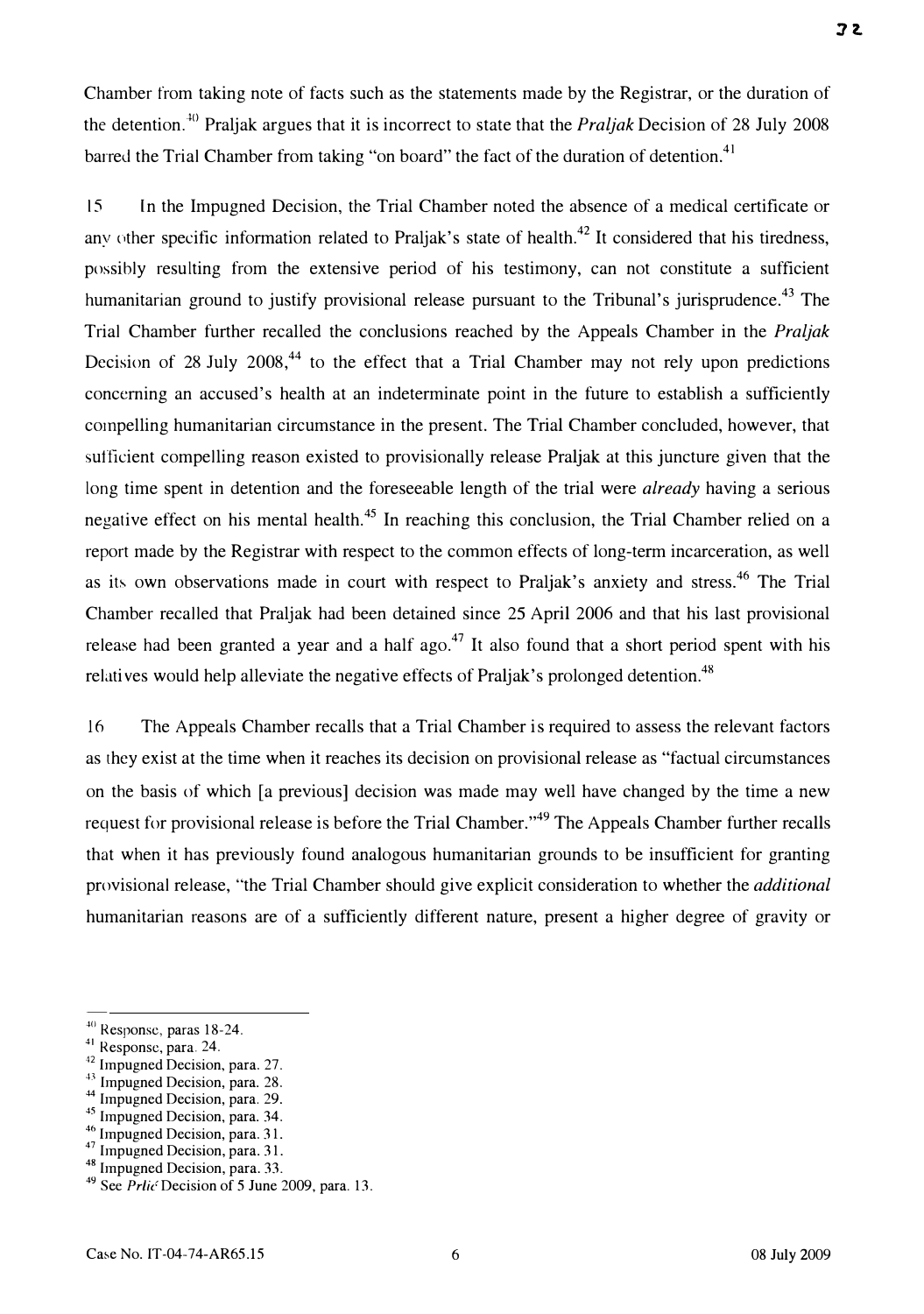Chamber from taking note of facts such as the statements made by the Registrar, or the duration of the detention.<sup>40</sup> Praljak argues that it is incorrect to state that the *Praljak* Decision of 28 July 2008 barred the Trial Chamber from taking "on board" the fact of the duration of detention.<sup>41</sup>

15 In the Impugned Decision, the Trial Chamber noted the absence of a medical certificate or any other specific information related to Praljak's state of health.<sup>42</sup> It considered that his tiredness, possibly resulting from the extensive period of his testimony, can not constitute a sufficient humanitarian ground to justify provisional release pursuant to the Tribunal's jurisprudence.<sup>43</sup> The Trial Chamber further recalled the conclusions reached by the Appeals Chamber in the Praljak Decision of 28 July 2008, $44$  to the effect that a Trial Chamber may not rely upon predictions concerning an accused's health at an indeterminate point in the future to establish a sufficiently compelling humanitarian circumstance in the present. The Trial Chamber concluded, however, that sufficient compelling reason existed to provisionally release Praljak at this juncture given that the long time spent in detention and the foreseeable length of the trial were *already* having a serious negative effect on his mental health.<sup>45</sup> In reaching this conclusion, the Trial Chamber relied on a report made by the Registrar with respect to the common effects of long-term incarceration, as well as its own observations made in court with respect to Praljak's anxiety and stress.<sup>46</sup> The Trial Chamber recalled that Praljak had been detained since 25 April 2006 and that his last provisional release had been granted a year and a half ago.<sup>47</sup> It also found that a short period spent with his relatives would help alleviate the negative effects of Praljak's prolonged detention.<sup>48</sup>

16 The Appeals Chamber recalls that a Trial Chamber is required to assess the relevant factors as they exist at the time when it reaches its decision on provisional release as "factual circumstances on the basis of which [a previous] decision was made may well have changed by the time a new request for provisional release is before the Trial Chamber."<sup>49</sup> The Appeals Chamber further recalls that when it has previously found analogous humanitarian grounds to be insufficient for granting provisional release, "the Trial Chamber should give explicit consideration to whether the additional humanitarian reasons are of a sufficiently different nature, present a higher degree of gravity or

<sup>&</sup>lt;sup>40</sup> Response, paras 18-24.

<sup>&</sup>lt;sup>41</sup> Response, para. 24.

<sup>&</sup>lt;sup>42</sup> Impugned Decision, para. 27.

<sup>&</sup>lt;sup>43</sup> Impugned Decision, para. 28.

<sup>&</sup>lt;sup>44</sup> Impugned Decision, para. 29.

<sup>45</sup> Impugned Decision, para. 34.

 $46$  Impugned Decision, para. 31.

<sup>&</sup>lt;sup>47</sup> Impugned Decision, para. 31.

<sup>48</sup> Impugned Decision, para. 33.

 $49$  See Prlic Decision of 5 June 2009, para. 13.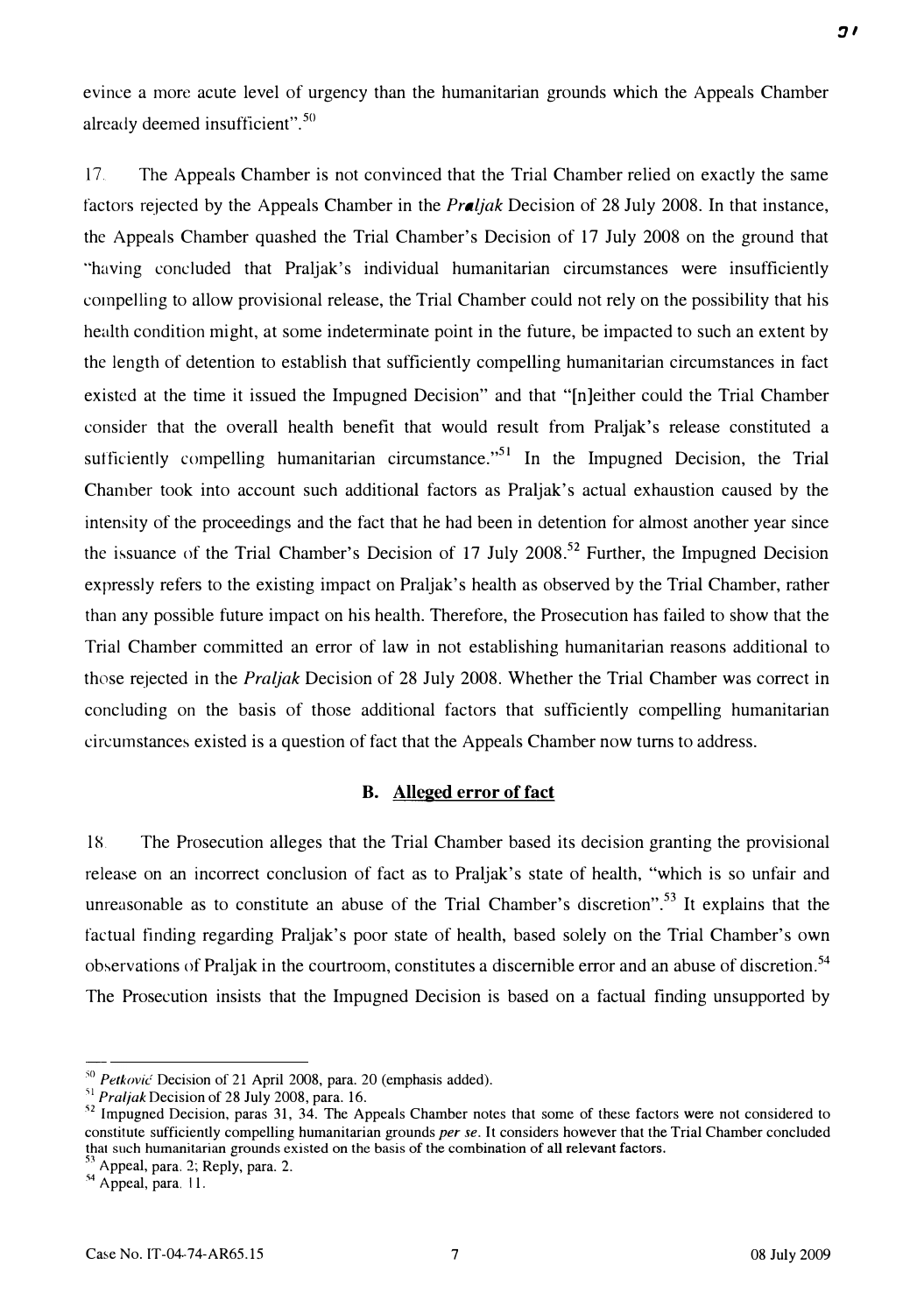evince a morc acute level of urgency than the humanitarian grounds which the Appeals Chamber already deemed insufficient". 50

17. The Appeals Chamber is not convinced that the Trial Chamber relied on exactly the same factors rejected by the Appeals Chamber in the *Praljak* Decision of 28 July 2008. In that instance, the Appeals Chamber quashed the Trial Chamber's Decision of 17 July 2008 on the ground that "having concluded that Praljak's individual humanitarian circumstances were insufficiently compelling to allow provisional release, the Trial Chamber could not rely on the possibility that his health condition might, at some indeterminate point in the future, be impacted to such an extent by the length of detention to establish that sufficiently compelling humanitarian circumstances in fact existed at the time it issued the Impugned Decision" and that "[n]either could the Trial Chamber consider that the overall health benefit that would result from Praljak's release constituted a sufficiently compelling humanitarian circumstance.<sup> $,51$ </sup> In the Impugned Decision, the Trial Chamber took into account such additional factors as Praljak's actual exhaustion caused by the intensity of the proceedings and the fact that he had been in detention for almost another year since the issuance of the Trial Chamber's Decision of 17 July 2008.<sup>52</sup> Further, the Impugned Decision expressly refers to the existing impact on Praljak's health as observed by the Trial Chamber, rather than any possible future impact on his health. Therefore, the Prosecution has failed to show that the Trial Chamber committed an error of law in not establishing humanitarian reasons additional to those rejected in the Praljak Decision of 28 July 2008. Whether the Trial Chamber was correct in concluding on the basis of those additional factors that sufficiently compelling humanitarian circumstances existed is a question of fact that the Appeals Chamber now turns to address.

## B. Alleged error of fact

l�. The Prosecution alleges that the Trial Chamber based its decision granting the provisional release on an incorrect conclusion of fact as to Praljak's state of health, "which is so unfair and unreasonable as to constitute an abuse of the Trial Chamber's discretion".<sup>53</sup> It explains that the factual finding regarding Praljak's poor state of health, based solely on the Trial Chamber's own observations of Praljak in the courtroom, constitutes a discernible error and an abuse of discretion.<sup>54</sup> The Prosecution insists that the Impugned Decision is based on a factual finding unsupported by

 $50$  Petković Decision of 21 April 2008, para. 20 (emphasis added).

 $^{51}$  Praljak Decision of 28 July 2008, para. 16.

<sup>&</sup>lt;sup>52</sup> Impugned Decision, paras 31, 34. The Appeals Chamber notes that some of these factors were not considered to constitute sufficiently compelling humanitarian grounds per se. It considers however that the Trial Chamber concluded that such humanitarian grounds existed on the basis of the combination of all relevant factors.

 $\degree$  Appeal, para. 2; Reply, para. 2.

<sup>&</sup>lt;sup>44</sup> Appeal, para. 11.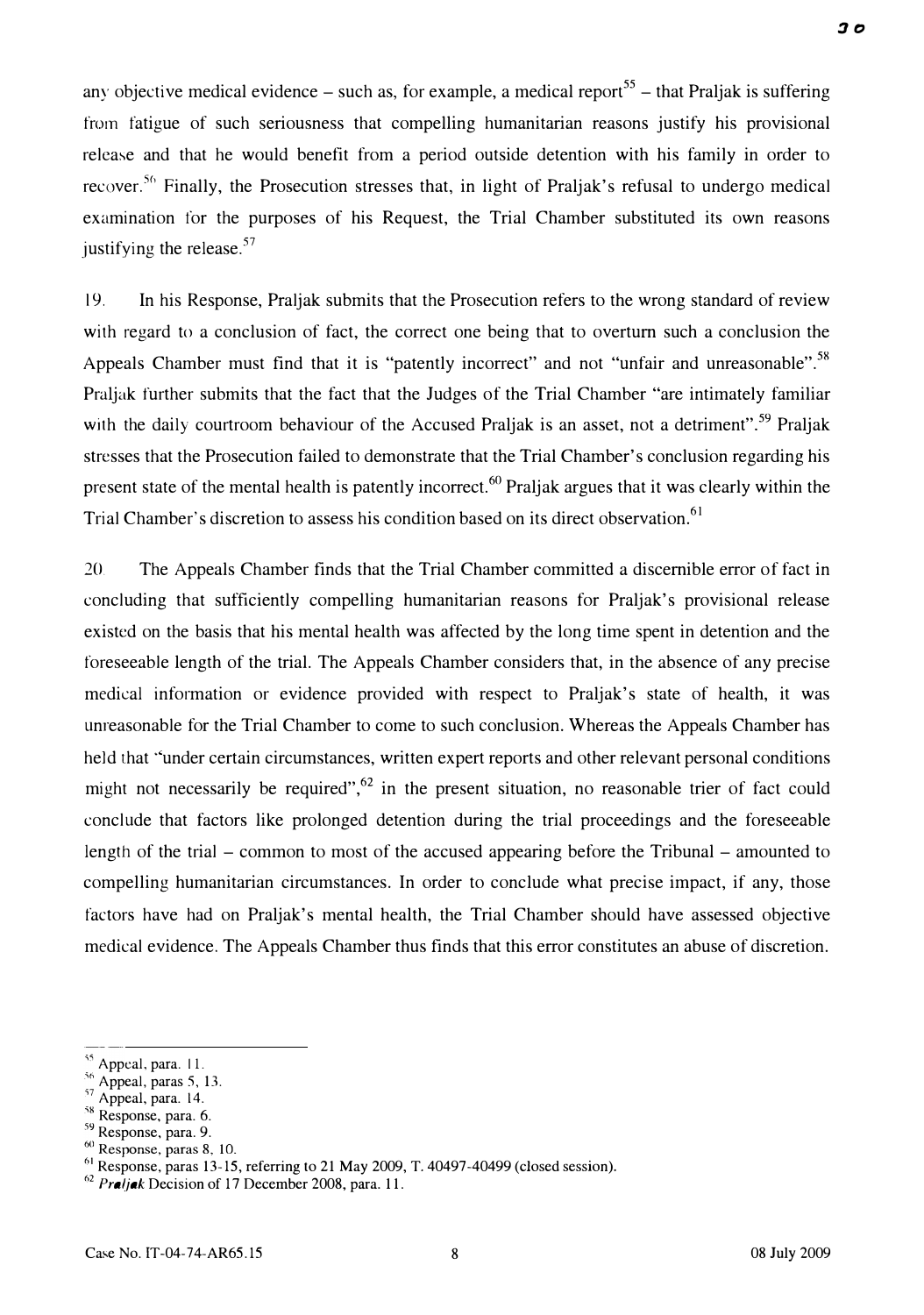any objective medical evidence  $-$  such as, for example, a medical report<sup>55</sup>  $-$  that Praljak is suffering from fatigue of such seriousness that compelling humanitarian reasons justify his provisional release and that he would benefit from a period outside detention with his family in order to recover.<sup>56</sup> Finally, the Prosecution stresses that, in light of Praljak's refusal to undergo medical examination for the purposes of his Request, the Trial Chamber substituted its own reasons justifying the release.<sup>57</sup>

19. In his Response, Praljak submits that the Prosecution refers to the wrong standard of review with regard to a conclusion of fact, the correct one being that to overturn such a conclusion the Appeals Chamber must find that it is "patently incorrect" and not "unfair and unreasonable".<sup>58</sup> Praljak further submits that the fact that the Judges of the Trial Chamber "are intimately familiar with the daily courtroom behaviour of the Accused Praljak is an asset, not a detriment".<sup>59</sup> Praljak stresses that the Prosecution failed to demonstrate that the Trial Chamber's conclusion regarding his present state of the mental health is patently incorrect.<sup>60</sup> Praljak argues that it was clearly within the Trial Chamber's discretion to assess his condition based on its direct observation.<sup>61</sup>

20. The Appeals Chamber finds that the Trial Chamber committed a discernible error of fact in concluding that sufficiently compelling humanitarian reasons for Praljak's provisional release existed on the basis that his mental health was affected by the long time spent in detention and the foreseeable length of the trial. The Appeals Chamber considers that, in the absence of any precise medical information or evidence provided with respect to Praljak's state of health, it was unreasonable for the Trial Chamber to come to such conclusion. Whereas the Appeals Chamber has held that "under certain circumstances, written expert reports and other relevant personal conditions might not necessarily be required",<sup>62</sup> in the present situation, no reasonable trier of fact could conclude that factors like prolonged detention during the trial proceedings and the foreseeable length of the trial – common to most of the accused appearing before the Tribunal – amounted to compelling humanitarian circumstances. In order to conclude what precise impact, if any, those factors have had on Praljak's mental health, the Trial Chamber should have assessed objective medical evidence. The Appeals Chamber thus finds that this error constitutes an abuse of discretion.

<sup>&</sup>lt;sup>55</sup> Appeal, para. 11.

 $56$  Appeal, paras 5, 13.

 $57$  Appeal, para. 14.

 $58$  Response, para. 6.

<sup>&</sup>lt;sup>59</sup> Response, para. 9.

<sup>&</sup>lt;sup>60</sup> Response, paras 8, 10.

 $^{61}$  Response, paras 13-15, referring to 21 May 2009, T. 40497-40499 (closed session).

<sup>&</sup>lt;sup>62</sup> Praljak Decision of 17 December 2008, para. 11.